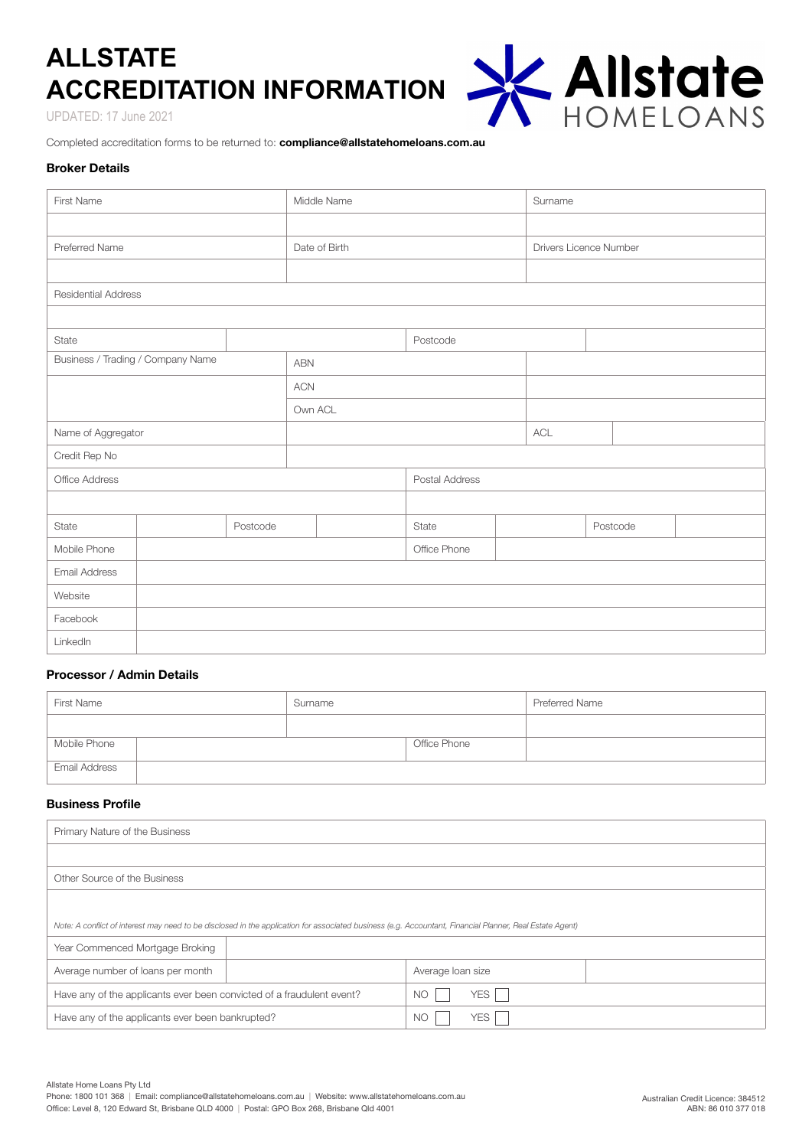# **ALLSTATE ACCREDITATION INFORMATION**

UPDATED: 17 June 2021

X Allstate

Completed accreditation forms to be returned to: **compliance@allstatehomeloans.com.au**

# **Broker Details**

| First Name                        |          |          | Middle Name    |  |              | Surname                |  |          |  |  |
|-----------------------------------|----------|----------|----------------|--|--------------|------------------------|--|----------|--|--|
|                                   |          |          |                |  |              |                        |  |          |  |  |
| Preferred Name                    |          |          | Date of Birth  |  |              | Drivers Licence Number |  |          |  |  |
|                                   |          |          |                |  |              |                        |  |          |  |  |
| <b>Residential Address</b>        |          |          |                |  |              |                        |  |          |  |  |
|                                   |          |          |                |  |              |                        |  |          |  |  |
| State                             |          | Postcode |                |  |              |                        |  |          |  |  |
| Business / Trading / Company Name |          |          | <b>ABN</b>     |  |              |                        |  |          |  |  |
|                                   |          |          | <b>ACN</b>     |  |              |                        |  |          |  |  |
|                                   |          |          | Own ACL        |  |              |                        |  |          |  |  |
| Name of Aggregator                |          |          |                |  |              | ACL                    |  |          |  |  |
| Credit Rep No                     |          |          |                |  |              |                        |  |          |  |  |
| Office Address                    |          |          | Postal Address |  |              |                        |  |          |  |  |
|                                   |          |          |                |  |              |                        |  |          |  |  |
| State                             | Postcode |          |                |  | State        |                        |  | Postcode |  |  |
| Mobile Phone                      |          |          |                |  | Office Phone |                        |  |          |  |  |
| Email Address                     |          |          |                |  |              |                        |  |          |  |  |
| Website                           |          |          |                |  |              |                        |  |          |  |  |
| Facebook                          |          |          |                |  |              |                        |  |          |  |  |
| LinkedIn                          |          |          |                |  |              |                        |  |          |  |  |

# **Processor / Admin Details**

| First Name    | Surname |              | Preferred Name |
|---------------|---------|--------------|----------------|
|               |         |              |                |
| Mobile Phone  |         | Office Phone |                |
| Email Address |         |              |                |

# **Business Profile**

| Primary Nature of the Business                                                                                                                           |                    |  |  |  |
|----------------------------------------------------------------------------------------------------------------------------------------------------------|--------------------|--|--|--|
|                                                                                                                                                          |                    |  |  |  |
| Other Source of the Business                                                                                                                             |                    |  |  |  |
|                                                                                                                                                          |                    |  |  |  |
| Note: A conflict of interest may need to be disclosed in the application for associated business (e.g. Accountant, Financial Planner, Real Estate Agent) |                    |  |  |  |
| Year Commenced Mortgage Broking                                                                                                                          |                    |  |  |  |
| Average number of loans per month                                                                                                                        | Average loan size  |  |  |  |
| Have any of the applicants ever been convicted of a fraudulent event?                                                                                    | YES  <br><b>NC</b> |  |  |  |
| Have any of the applicants ever been bankrupted?                                                                                                         | YES<br><b>NO</b>   |  |  |  |